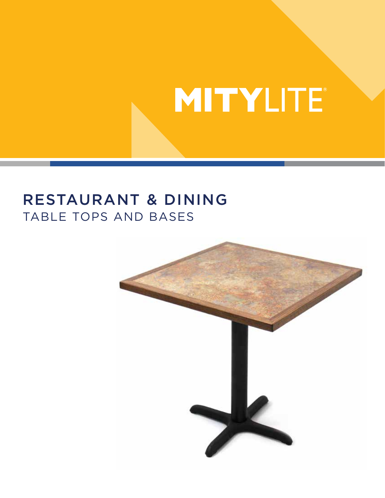## RESTAURANT & DINING TABLE TOPS AND BASES

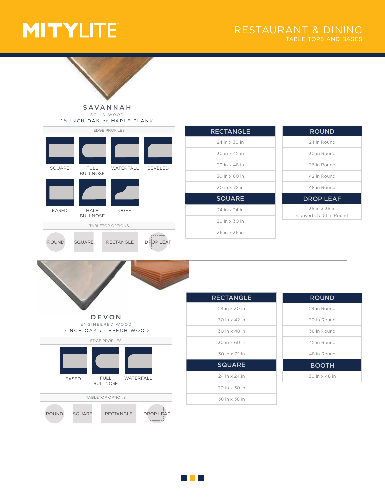ROUND

SQUARE



#### SAVANNAH SOLID WOOD



RECTANGLE

DROP LEAF

| <b>RECTANGLE</b> |
|------------------|
| 24 in x 30 in    |
| 30 in x 42 in    |
| 30 in x 48 in    |
| 30 in x 60 in    |
| 30 in x 72 in    |
| <b>SQUARE</b>    |
| 24 in x 24 in    |
| 30 in x 30 in    |
| 36 in x 36 in    |
|                  |

| <b>ROUND</b>     |
|------------------|
| 24 in Round      |
| 30 in Round      |
| 36 in Round      |
| 42 in Round      |
| 48 in Round      |
| <b>DROP LEAF</b> |
| 36 in x 36 in    |

Converts to 51 in Round

## DEVON ENGINEERED WOOD



| <b>RECTANGLE</b>       |
|------------------------|
| 24 in x 30 in          |
| 30 in x 42 in          |
| 30 in x 48 in          |
| $30$ in $\times$ 60 in |
| 30 in x 72 in          |
| <b>SQUARE</b>          |
| 24 in x 24 in          |
| 30 in x 30 in          |
| 36 in x 36 in          |
|                        |

| <b>ROUND</b>  |  |
|---------------|--|
| 24 in Round   |  |
| 30 in Round   |  |
| 36 in Round   |  |
| 42 in Round   |  |
| 48 in Round   |  |
| <b>BOOTH</b>  |  |
| 30 in x 48 in |  |

#### <u> Tan</u>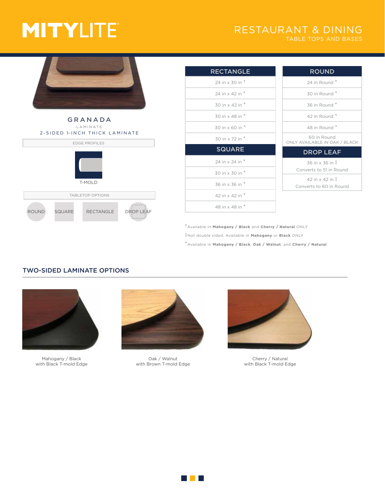## RESTAURANT & DINING





| <b>RECTANGLE</b>   | <b>ROUND</b>                                                 |
|--------------------|--------------------------------------------------------------|
| 24 in x 30 in $^+$ | 24 in Round *                                                |
| 24 in x 42 in *    | 30 in Round *                                                |
| 30 in x 42 in *    | 36 in Round*                                                 |
| 30 in x 48 in *    | $42$ in Round $*$                                            |
| 30 in x 60 in *    | 48 in Round *                                                |
| 30 in x 72 in *    | 60 in Round<br>ONLY AVAILABLE IN OAK / BLACK                 |
| <b>SQUARE</b>      | <b>DROP LEAF</b>                                             |
| 24 in x 24 in *    | 36 in x 36 in <sup>1</sup>                                   |
| 30 in x 30 in *    | Converts to 51 in Round                                      |
| 36 in x 36 in *    | $42$ in $\times$ 42 in $\ddagger$<br>Converts to 60 in Round |
| 42 in x 42 in *    |                                                              |
| 48 in x 48 in *    |                                                              |
|                    |                                                              |

†Available in **Mahogany / Black** and **Cherry / Natural** ONLY ‡Not double sided. Available in **Mahogany** or **Black** ONLY \*Available in **Mahogany / Black**, **Oak / Walnut**, and **Cherry / Natural**

### TWO-SIDED LAMINATE OPTIONS



Mahogany / Black with Black T-mold Edge



Oak / Walnut with Brown T-mold Edge



Cherry / Natural with Black T-mold Edge

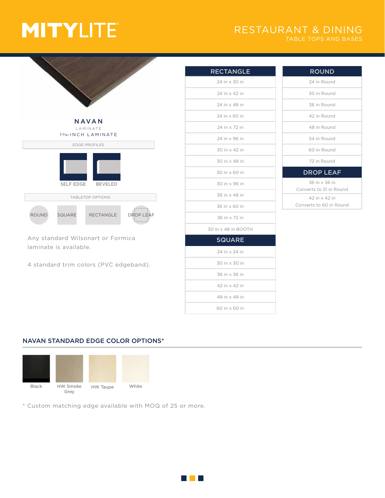## RESTAURANT & DINING TABLE TOPS AND BASES



Any standard Wilsonart or Formica laminate is available.

4 standard trim colors (PVC edgeband).

| <b>RECTANGLE</b>    |
|---------------------|
| 24 in x 30 in       |
| 24 in x 42 in       |
| 24 in x 48 in       |
| 24 in x 60 in       |
| 24 in x 72 in       |
| 24 in x 96 in       |
| 30 in x 42 in       |
| 30 in x 48 in       |
| 30 in x 60 in       |
| 30 in x 96 in       |
| 36 in x 48 in       |
| 36 in x 60 in       |
| 36 in x 72 in       |
| 30 in x 48 in BOOTH |
| <b>SQUARE</b>       |
| 24 in x 24 in       |
| 30 in x 30 in       |
| 36 in x 36 in       |
| 42 in x 42 in       |
| 48 in x 48 in       |
| 60 in x 60 in       |
|                     |

| <b>ROUND</b>            |
|-------------------------|
| 24 in Round             |
| 30 in Round             |
| 36 in Round             |
| 42 in Round             |
| 48 in Round             |
| 54 in Round             |
| 60 in Round             |
| 72 in Round             |
| <b>DROP LEAF</b>        |
| 36 in x 36 in           |
| Converts to 51 in Round |
| 42 in x 42 in           |
| Converts to 60 in Round |

### NAVAN STANDARD EDGE COLOR OPTIONS\*



\* Custom matching edge available with MOQ of 25 or more.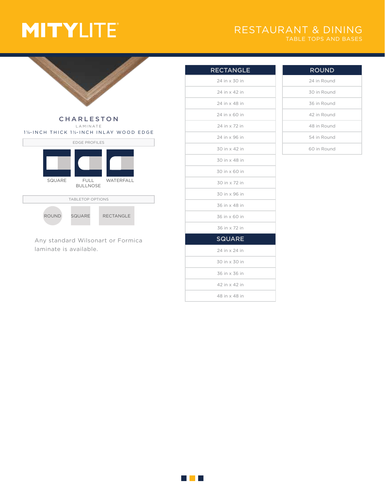## RESTAURANT & DINING



## EDGE PROFILES TABLETOP OPTIONS ROUND SQUARE RECTANGLE LAMINATE 11/4-INCH THICK 11/2-INCH INLAY WOOD EDGE FULL BULLNOSE SQUARE FULL WATERFALL

Any standard Wilsonart or Formica laminate is available.

| <b>RECTANGLE</b> |
|------------------|
| 24 in x 30 in    |
| 24 in x 42 in    |
| 24 in x 48 in    |
| 24 in x 60 in    |
| 24 in x 72 in    |
| 24 in x 96 in    |
| 30 in x 42 in    |
| 30 in x 48 in    |
| 30 in x 60 in    |
| 30 in x 72 in    |
| 30 in x 96 in    |
| 36 in x 48 in    |
| 36 in x 60 in    |
| 36 in x 72 in    |
| <b>SQUARE</b>    |
| 24 in x 24 in    |
| 30 in x 30 in    |
| 36 in x 36 in    |
| 42 in x 42 in    |
| 48 in x 48 in    |

| <b>ROUND</b> |
|--------------|
| 24 in Round  |
| 30 in Round  |
| 36 in Round  |
| 42 in Round  |
| 48 in Round  |
| 54 in Round  |
| 60 in Round  |

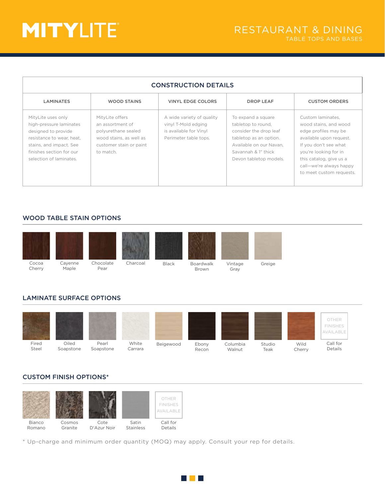| <b>CONSTRUCTION DETAILS</b>                                                                                                                                                         |                                                                                                                               |                                                                                                     |                                                                                                                                                                          |                                                                                                                                                                                                                                   |
|-------------------------------------------------------------------------------------------------------------------------------------------------------------------------------------|-------------------------------------------------------------------------------------------------------------------------------|-----------------------------------------------------------------------------------------------------|--------------------------------------------------------------------------------------------------------------------------------------------------------------------------|-----------------------------------------------------------------------------------------------------------------------------------------------------------------------------------------------------------------------------------|
| <b>LAMINATES</b>                                                                                                                                                                    | <b>WOOD STAINS</b>                                                                                                            | VINYL EDGE COLORS                                                                                   | <b>DROP LEAF</b>                                                                                                                                                         | <b>CUSTOM ORDERS</b>                                                                                                                                                                                                              |
| MityLite uses only<br>high-pressure laminates<br>designed to provide<br>resistance to wear, heat.<br>stains, and impact. See<br>finishes section for our<br>selection of laminates. | MityLite offers<br>an assortment of<br>polyurethane sealed<br>wood stains, as well as<br>customer stain or paint<br>to match. | A wide variety of quality<br>vinyl T-Mold edging<br>is available for Vinyl<br>Perimeter table tops. | To expand a square<br>tabletop to round,<br>consider the drop leaf<br>tabletop as an option.<br>Available on our Navan.<br>Savannah & 1" thick<br>Devon tabletop models. | Custom laminates,<br>wood stains, and wood<br>edge profiles may be<br>available upon request.<br>If you don't see what<br>you're looking for in<br>this catalog, give us a<br>call-we're always happy<br>to meet custom requests. |

## WOOD TABLE STAIN OPTIONS



## LAMINATE SURFACE OPTIONS



## CUSTOM FINISH OPTIONS\*



\* Up-charge and minimum order quantity (MOQ) may apply. Consult your rep for details.

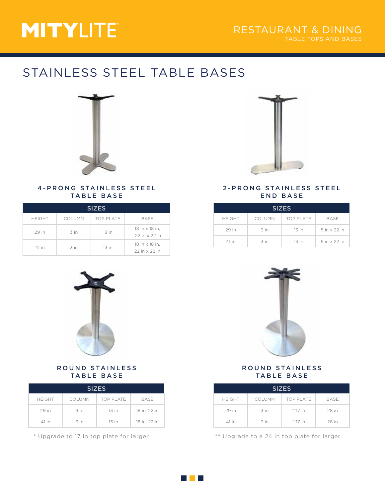## STAINLESS STEEL TABLE BASES



#### 4-PRONG STAINLESS STEEL TABLE BASE

| <b>SIZES</b>  |               |                  |                                 |  |
|---------------|---------------|------------------|---------------------------------|--|
| <b>HEIGHT</b> | <b>COLUMN</b> | <b>TOP PLATE</b> | BASE                            |  |
| 29 in         | 3 in          | $13$ in          | 18 in x 18 in,<br>22 in x 22 in |  |
| 41 in         | 3 in          | $13$ in          | 18 in x 18 in.<br>22 in x 22 in |  |



### 2-PRONG STAINLESS STEEL END BASE

| <b>SIZES</b>  |               |                  |              |  |
|---------------|---------------|------------------|--------------|--|
| <b>HEIGHT</b> | <b>COLUMN</b> | <b>TOP PLATE</b> | <b>BASE</b>  |  |
| 29 in         | 3 in          | $13$ in          | 5 in x 22 in |  |
| 41 in         | 3 in          | $13$ in          | 5 in x 22 in |  |



### ROUND STAINLESS TABLE BASE

| <b>SIZES</b>  |               |                  |              |
|---------------|---------------|------------------|--------------|
| <b>HEIGHT</b> | <b>COLUMN</b> | <b>TOP PLATE</b> | <b>BASE</b>  |
| 29 in         | 3 in          | 13 in            | 18 in, 22 in |
| 41 in         | 3 in          | $13$ in          | 18 in, 22 in |



## ROUND STAINLESS TABLE BASE

| <b>SIZES</b>  |        |                  |             |
|---------------|--------|------------------|-------------|
| <b>HEIGHT</b> | COLUMN | <b>TOP PLATE</b> | <b>BASE</b> |
| 29 in         | 3 in   | $*$ *17 in       | 28 in       |
| 41 in         | 3 in   | $*$ *17 in       | 28 in       |

\* Upgrade to 17 in top plate for larger \*\* Upgrade to a 24 in top plate for larger

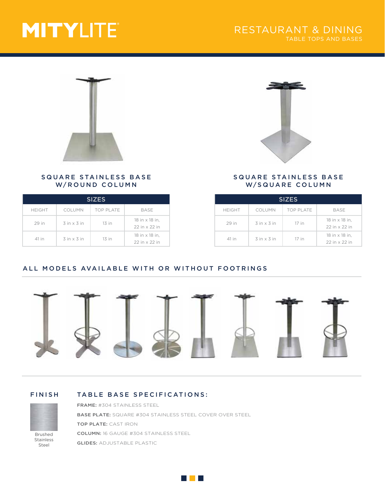

### SQUARE STAINLESS BASE W/ROUND COLUMN

| <b>SIZES</b>  |                        |                  |                                 |
|---------------|------------------------|------------------|---------------------------------|
| <b>HEIGHT</b> | COLUMN                 | <b>TOP PLATE</b> | BASE                            |
| 29 in         | $3$ in $\times$ $3$ in | $13$ in          | 18 in x 18 in.<br>22 in x 22 in |
| 41 in         | $3$ in $\times$ 3 in   | $13$ in          | 18 in x 18 in.<br>22 in x 22 in |



### SQUARE STAINLESS BASE W/SQUARE COLUMN

| <b>SIZES</b>  |                      |                  |                                          |
|---------------|----------------------|------------------|------------------------------------------|
| <b>HEIGHT</b> | <b>COLUMN</b>        | <b>TOP PLATE</b> | BASE                                     |
| 29 in         | $3$ in $\times$ 3 in | 17 in            | $18$ in $\times$ 18 in.<br>22 in x 22 in |
| 41 in         | $3$ in $\times$ 3 in | 17 in            | $18$ in $\times$ 18 in.<br>22 in x 22 in |

## ALL MODELS AVAILABLE WITH OR WITHOUT FOOTRINGS



### FINISH TABLE BASE SPECIFICATIONS:



Brushed Stainless Steel

FRAME: #304 STAINLESS STEEL BASE PLATE: SQUARE #304 STAINLESS STEEL COVER OVER STEEL TOP PLATE: CAST IRON COLUMN: 16 GAUGE #304 STAINLESS STEEL GLIDES: ADJUSTABLE PLASTIC

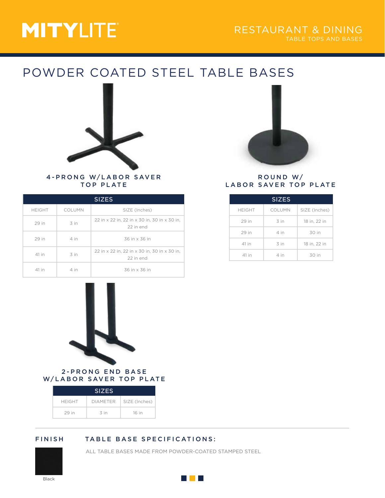## POWDER COATED STEEL TABLE BASES



### 4-PRONG W/LABOR SAVER TOP PLATE

| <b>SIZES</b>  |        |                                                           |
|---------------|--------|-----------------------------------------------------------|
| <b>HEIGHT</b> | COLUMN | SIZE (Inches)                                             |
| 29 in         | 3 in   | 22 in x 22 in, 22 in x 30 in, 30 in x 30 in,<br>22 in end |
| 29 in         | 4 in   | 36 in x 36 in                                             |
| 41 in         | 3 in   | 22 in x 22 in, 22 in x 30 in, 30 in x 30 in,<br>22 in end |
| 41 in         | 4 in   | 36 in x 36 in                                             |



#### 2-PRONG END BASE W/LABOR SAVER TOP PLATE

| <b>SIZES</b>  |                 |               |  |
|---------------|-----------------|---------------|--|
| <b>HEIGHT</b> | <b>DIAMETER</b> | SIZE (Inches) |  |
| 29 in         | 3 in            | 16 in         |  |

## FINISH TABLE BASE SPECIFICATIONS:

ALL TABLE BASES MADE FROM POWDER-COATED STAMPED STEEL



#### ROUND W/ LABOR SAVER TOP PLATE

| <b>SIZES</b>  |        |               |  |
|---------------|--------|---------------|--|
| <b>HEIGHT</b> | COLUMN | SIZE (Inches) |  |
| 29 in         | 3 in   | 18 in, 22 in  |  |
| 29 in         | 4 in   | 30 in         |  |
| 41 in         | 3 in   | 18 in, 22 in  |  |
| 41 in         | 4 in   | 30 in         |  |

Black